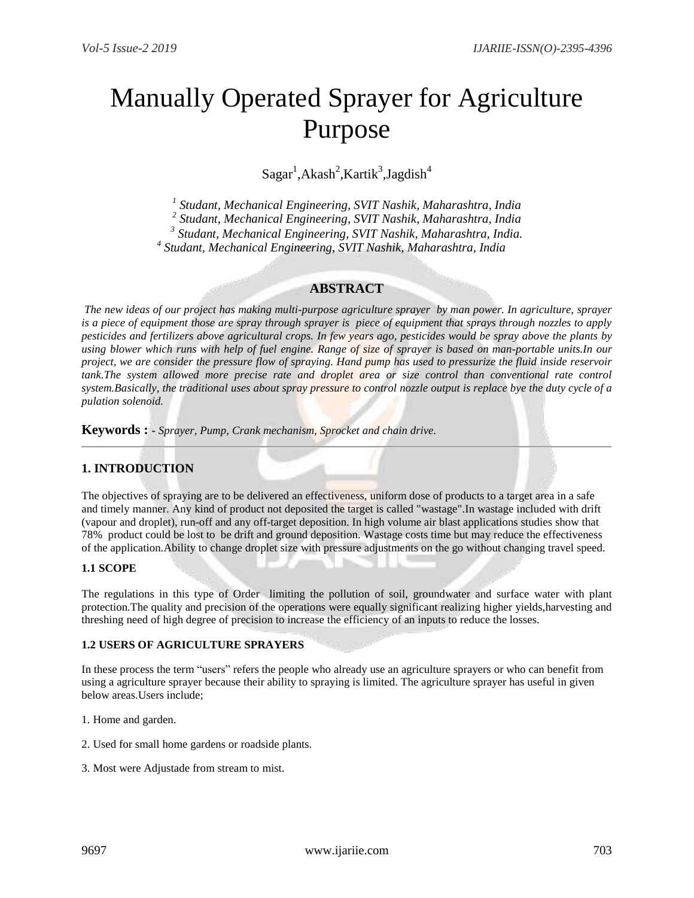# Manually Operated Sprayer for Agriculture Purpose

 $Sagar<sup>1</sup>, Akash<sup>2</sup>, Kartik<sup>3</sup>, Jagdish<sup>4</sup>$ 

*1 Studant, Mechanical Engineering, SVIT Nashik, Maharashtra, India*

*2 Studant, Mechanical Engineering, SVIT Nashik, Maharashtra, India*

*3 Studant, Mechanical Engineering, SVIT Nashik, Maharashtra, India.* 

 *4 Studant, Mechanical Engineering, SVIT Nashik, Maharashtra, India*

# **ABSTRACT**

*The new ideas of our project has making multi-purpose agriculture sprayer by man power. In agriculture, sprayer is a piece of equipment those are spray through sprayer is piece of equipment that sprays through nozzles to apply pesticides and fertilizers above agricultural crops. In few years ago, pesticides would be spray above the plants by using blower which runs with help of fuel engine. Range of size of sprayer is based on man-portable units.In our project, we are consider the pressure flow of spraying. Hand pump has used to pressurize the fluid inside reservoir tank.The system allowed more precise rate and droplet area or size control than conventional rate control system.Basically, the traditional uses about spray pressure to control nozzle output is replace bye the duty cycle of a pulation solenoid.*

**Keywords : -** *Sprayer, Pump, Crank mechanism, Sprocket and chain drive.*

# **1. INTRODUCTION**

The objectives of spraying are to be delivered an effectiveness, uniform dose of products to a target area in a safe and timely manner. Any kind of product not deposited the target is called "wastage".In wastage included with drift (vapour and droplet), run-off and any off-target deposition. In high volume air blast applications studies show that 78% product could be lost to be drift and ground deposition. Wastage costs time but may reduce the effectiveness of the application.Ability to change droplet size with pressure adjustments on the go without changing travel speed.

## **1.1 SCOPE**

The regulations in this type of Order limiting the pollution of soil, groundwater and surface water with plant protection.The quality and precision of the operations were equally significant realizing higher yields,harvesting and threshing need of high degree of precision to increase the efficiency of an inputs to reduce the losses.

## **1.2 USERS OF AGRICULTURE SPRAYERS**

In these process the term "users" refers the people who already use an agriculture sprayers or who can benefit from using a agriculture sprayer because their ability to spraying is limited. The agriculture sprayer has useful in given below areas.Users include;

1. Home and garden.

- 2. Used for small home gardens or roadside plants.
- 3. Most were Adjustade from stream to mist.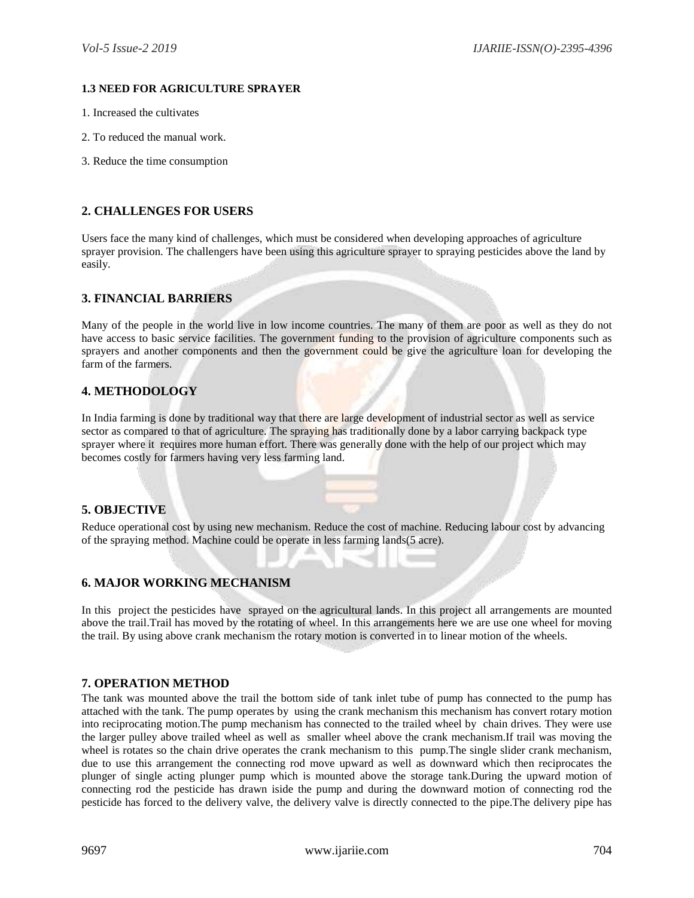# **1.3 NEED FOR AGRICULTURE SPRAYER**

- 1. Increased the cultivates
- 2. To reduced the manual work.
- 3. Reduce the time consumption

# **2. CHALLENGES FOR USERS**

Users face the many kind of challenges, which must be considered when developing approaches of agriculture sprayer provision. The challengers have been using this agriculture sprayer to spraying pesticides above the land by easily.

# **3. FINANCIAL BARRIERS**

Many of the people in the world live in low income countries. The many of them are poor as well as they do not have access to basic service facilities. The government funding to the provision of agriculture components such as sprayers and another components and then the government could be give the agriculture loan for developing the farm of the farmers.

## **4. METHODOLOGY**

In India farming is done by traditional way that there are large development of industrial sector as well as service sector as compared to that of agriculture. The spraying has traditionally done by a labor carrying backpack type sprayer where it requires more human effort. There was generally done with the help of our project which may becomes costly for farmers having very less farming land.

#### **5. OBJECTIVE**

Reduce operational cost by using new mechanism. Reduce the cost of machine. Reducing labour cost by advancing of the spraying method. Machine could be operate in less farming lands(5 acre).

# **6. MAJOR WORKING MECHANISM**

In this project the pesticides have sprayed on the agricultural lands. In this project all arrangements are mounted above the trail.Trail has moved by the rotating of wheel. In this arrangements here we are use one wheel for moving the trail. By using above crank mechanism the rotary motion is converted in to linear motion of the wheels.

## **7. OPERATION METHOD**

The tank was mounted above the trail the bottom side of tank inlet tube of pump has connected to the pump has attached with the tank. The pump operates by using the crank mechanism this mechanism has convert rotary motion into reciprocating motion.The pump mechanism has connected to the trailed wheel by chain drives. They were use the larger pulley above trailed wheel as well as smaller wheel above the crank mechanism.If trail was moving the wheel is rotates so the chain drive operates the crank mechanism to this pump. The single slider crank mechanism, due to use this arrangement the connecting rod move upward as well as downward which then reciprocates the plunger of single acting plunger pump which is mounted above the storage tank.During the upward motion of connecting rod the pesticide has drawn iside the pump and during the downward motion of connecting rod the pesticide has forced to the delivery valve, the delivery valve is directly connected to the pipe.The delivery pipe has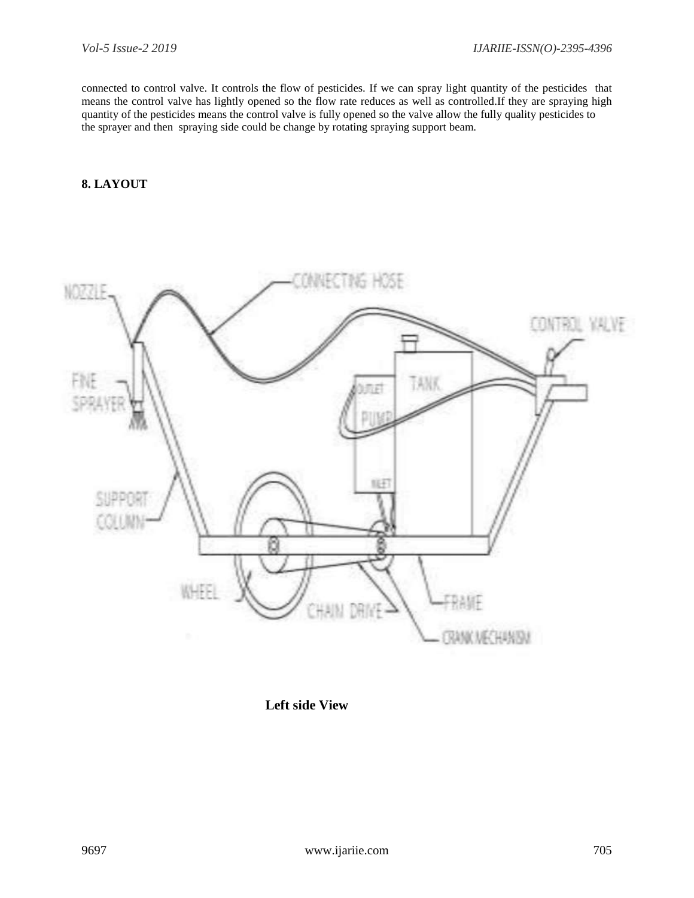connected to control valve. It controls the flow of pesticides. If we can spray light quantity of the pesticides that means the control valve has lightly opened so the flow rate reduces as well as controlled.If they are spraying high quantity of the pesticides means the control valve is fully opened so the valve allow the fully quality pesticides to the sprayer and then spraying side could be change by rotating spraying support beam.

# **8. LAYOUT**



 **Left side View**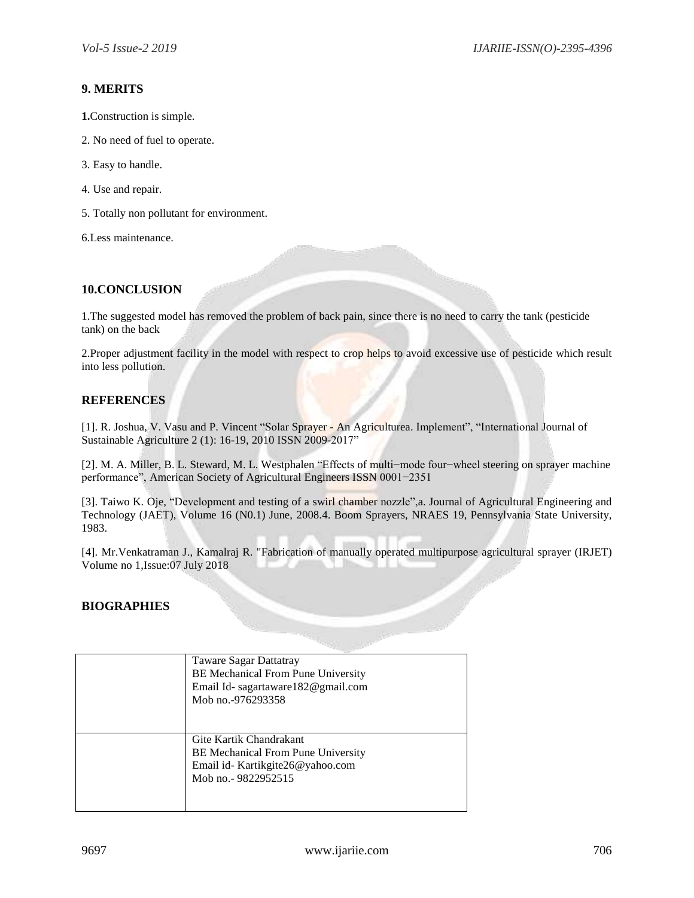# **9. MERITS**

- **1.**Construction is simple.
- 2. No need of fuel to operate.
- 3. Easy to handle.
- 4. Use and repair.
- 5. Totally non pollutant for environment.

6.Less maintenance.

# **10.CONCLUSION**

1.The suggested model has removed the problem of back pain, since there is no need to carry the tank (pesticide tank) on the back

2.Proper adjustment facility in the model with respect to crop helps to avoid excessive use of pesticide which result into less pollution.

# **REFERENCES**

[1]. R. Joshua, V. Vasu and P. Vincent "Solar Sprayer - An Agriculturea. Implement", "International Journal of Sustainable Agriculture 2 (1): 16-19, 2010 ISSN 2009-2017"

[2]. M. A. Miller, B. L. Steward, M. L. Westphalen "Effects of multi−mode four−wheel steering on sprayer machine performance", American Society of Agricultural Engineers ISSN 0001−2351

[3]. Taiwo K. Oje, "Development and testing of a swirl chamber nozzle",a. Journal of Agricultural Engineering and Technology (JAET), Volume 16 (N0.1) June, 2008.4. Boom Sprayers, NRAES 19, Pennsylvania State University, 1983.

[4]. Mr.Venkatraman J., Kamalraj R. "Fabrication of manually operated multipurpose agricultural sprayer (IRJET) Volume no 1,Issue:07 July 2018

# **BIOGRAPHIES**

| Taware Sagar Dattatray<br><b>BE Mechanical From Pune University</b><br>Email Id-sagartaware 182@gmail.com<br>Mob no. -976293358  |
|----------------------------------------------------------------------------------------------------------------------------------|
| Gite Kartik Chandrakant<br><b>BE</b> Mechanical From Pune University<br>Email id- Kartikgite26@yahoo.com<br>Mob no. - 9822952515 |